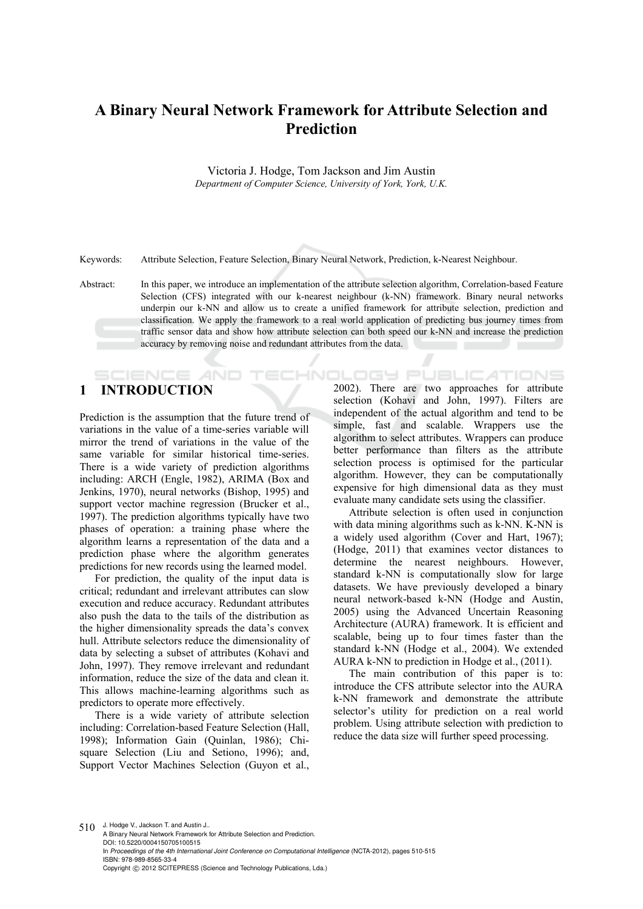# **A Binary Neural Network Framework for Attribute Selection and Prediction**

Victoria J. Hodge, Tom Jackson and Jim Austin *Department of Computer Science, University of York, York, U.K.* 

Keywords: Attribute Selection, Feature Selection, Binary Neural Network, Prediction, k-Nearest Neighbour.

Abstract: In this paper, we introduce an implementation of the attribute selection algorithm, Correlation-based Feature Selection (CFS) integrated with our k-nearest neighbour (k-NN) framework. Binary neural networks underpin our k-NN and allow us to create a unified framework for attribute selection, prediction and classification. We apply the framework to a real world application of predicting bus journey times from traffic sensor data and show how attribute selection can both speed our k-NN and increase the prediction accuracy by removing noise and redundant attributes from the data.

# **1 INTRODUCTION**

Prediction is the assumption that the future trend of variations in the value of a time-series variable will mirror the trend of variations in the value of the same variable for similar historical time-series. There is a wide variety of prediction algorithms including: ARCH (Engle, 1982), ARIMA (Box and Jenkins, 1970), neural networks (Bishop, 1995) and support vector machine regression (Brucker et al., 1997). The prediction algorithms typically have two phases of operation: a training phase where the algorithm learns a representation of the data and a prediction phase where the algorithm generates predictions for new records using the learned model.

For prediction, the quality of the input data is critical; redundant and irrelevant attributes can slow execution and reduce accuracy. Redundant attributes also push the data to the tails of the distribution as the higher dimensionality spreads the data's convex hull. Attribute selectors reduce the dimensionality of data by selecting a subset of attributes (Kohavi and John, 1997). They remove irrelevant and redundant information, reduce the size of the data and clean it. This allows machine-learning algorithms such as predictors to operate more effectively.

There is a wide variety of attribute selection including: Correlation-based Feature Selection (Hall, 1998); Information Gain (Quinlan, 1986); Chisquare Selection (Liu and Setiono, 1996); and, Support Vector Machines Selection (Guyon et al., **OLOGY PUBLICATIONS** 2002). There are two approaches for attribute selection (Kohavi and John, 1997). Filters are independent of the actual algorithm and tend to be simple, fast and scalable. Wrappers use the algorithm to select attributes. Wrappers can produce better performance than filters as the attribute selection process is optimised for the particular algorithm. However, they can be computationally expensive for high dimensional data as they must evaluate many candidate sets using the classifier.

Attribute selection is often used in conjunction with data mining algorithms such as k-NN. K-NN is a widely used algorithm (Cover and Hart, 1967); (Hodge, 2011) that examines vector distances to determine the nearest neighbours. However, standard k-NN is computationally slow for large datasets. We have previously developed a binary neural network-based k-NN (Hodge and Austin, 2005) using the Advanced Uncertain Reasoning Architecture (AURA) framework. It is efficient and scalable, being up to four times faster than the standard k-NN (Hodge et al., 2004). We extended AURA k-NN to prediction in Hodge et al., (2011).

The main contribution of this paper is to: introduce the CFS attribute selector into the AURA k-NN framework and demonstrate the attribute selector's utility for prediction on a real world problem. Using attribute selection with prediction to reduce the data size will further speed processing.

 $510$  J. Hodge V., Jackson T. and Austin J.. A Binary Neural Network Framework for Attribute Selection and Prediction. DOI: 10.5220/0004150705100515 In *Proceedings of the 4th International Joint Conference on Computational Intelligence* (NCTA-2012), pages 510-515 ISBN: 978-989-8565-33-4 Copyright © 2012 SCITEPRESS (Science and Technology Publications, Lda.)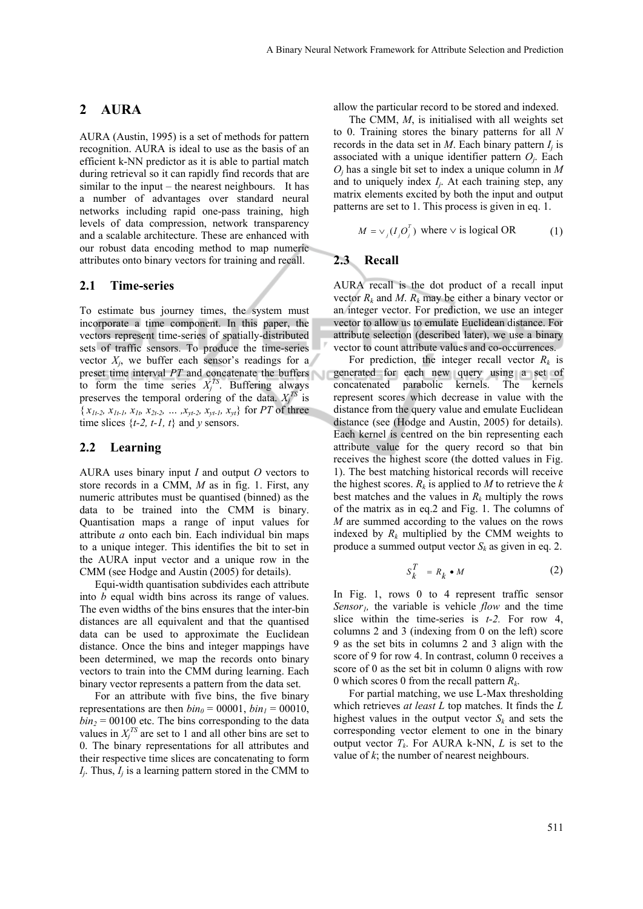# **2 AURA**

AURA (Austin, 1995) is a set of methods for pattern recognition. AURA is ideal to use as the basis of an efficient k-NN predictor as it is able to partial match during retrieval so it can rapidly find records that are similar to the input – the nearest neighbours. It has a number of advantages over standard neural networks including rapid one-pass training, high levels of data compression, network transparency and a scalable architecture. These are enhanced with our robust data encoding method to map numeric attributes onto binary vectors for training and recall.

### **2.1 Time-series**

To estimate bus journey times, the system must incorporate a time component. In this paper, the vectors represent time-series of spatially-distributed sets of traffic sensors. To produce the time-series vector  $X_i$ , we buffer each sensor's readings for a preset time interval *PT* and concatenate the buffers to form the time series  $X_j^{TS}$ . Buffering always preserves the temporal ordering of the data.  $X_j^{TS}$  is  $\{x_{1t-2}, x_{1t-1}, x_{1t}, x_{2t-2}, \ldots, x_{yt-2}, x_{yt-1}, x_{yt}\}$  for *PT* of three time slices  $\{t-2, t-1, t\}$  and *y* sensors.

### **2.2 Learning**

AURA uses binary input *I* and output *O* vectors to store records in a CMM, *M* as in fig. 1. First, any numeric attributes must be quantised (binned) as the data to be trained into the CMM is binary. Quantisation maps a range of input values for attribute *a* onto each bin. Each individual bin maps to a unique integer. This identifies the bit to set in the AURA input vector and a unique row in the CMM (see Hodge and Austin (2005) for details).

Equi-width quantisation subdivides each attribute into *b* equal width bins across its range of values. The even widths of the bins ensures that the inter-bin distances are all equivalent and that the quantised data can be used to approximate the Euclidean distance. Once the bins and integer mappings have been determined, we map the records onto binary vectors to train into the CMM during learning. Each binary vector represents a pattern from the data set.

For an attribute with five bins, the five binary representations are then  $\frac{b_i n_0}{\pi} = 00001$ ,  $\frac{b_i n_1}{\pi} = 00010$ ,  $\frac{b\dot{n}_2}{ }$  = 00100 etc. The bins corresponding to the data values in  $X_j^{TS}$  are set to 1 and all other bins are set to 0. The binary representations for all attributes and their respective time slices are concatenating to form  $I_j$ . Thus,  $I_j$  is a learning pattern stored in the CMM to

allow the particular record to be stored and indexed.

The CMM, *M*, is initialised with all weights set to 0. Training stores the binary patterns for all *N* records in the data set in  $M$ . Each binary pattern  $I_i$  is associated with a unique identifier pattern *Oj*. Each *Oj* has a single bit set to index a unique column in *M* and to uniquely index *Ij*. At each training step, any matrix elements excited by both the input and output patterns are set to 1. This process is given in eq. 1.

$$
M = \vee_j (I_j O_j^T) \text{ where } \vee \text{ is logical OR} \tag{1}
$$

#### **2.3 Recall**

AURA recall is the dot product of a recall input vector  $R_k$  and M.  $R_k$  may be either a binary vector or an integer vector. For prediction, we use an integer vector to allow us to emulate Euclidean distance. For attribute selection (described later), we use a binary vector to count attribute values and co-occurrences.

For prediction, the integer recall vector  $R_k$  is generated for each new query using a set of concatenated parabolic kernels. The kernels represent scores which decrease in value with the distance from the query value and emulate Euclidean distance (see (Hodge and Austin, 2005) for details). Each kernel is centred on the bin representing each attribute value for the query record so that bin receives the highest score (the dotted values in Fig. 1). The best matching historical records will receive the highest scores.  $R_k$  is applied to M to retrieve the  $k$ best matches and the values in  $R_k$  multiply the rows of the matrix as in eq.2 and Fig. 1. The columns of *M* are summed according to the values on the rows indexed by  $R_k$  multiplied by the CMM weights to produce a summed output vector  $S_k$  as given in eq. 2.

$$
S_k^T = R_k \bullet M \tag{2}
$$

In Fig. 1, rows 0 to 4 represent traffic sensor *Sensor1,* the variable is vehicle *flow* and the time slice within the time-series is *t-2.* For row 4, columns 2 and 3 (indexing from 0 on the left) score 9 as the set bits in columns 2 and 3 align with the score of 9 for row 4. In contrast, column 0 receives a score of 0 as the set bit in column 0 aligns with row 0 which scores 0 from the recall pattern *Rk*.

For partial matching, we use L-Max thresholding which retrieves *at least L* top matches. It finds the *L* highest values in the output vector  $S_k$  and sets the corresponding vector element to one in the binary output vector  $T_k$ . For AURA k-NN, *L* is set to the value of *k*; the number of nearest neighbours.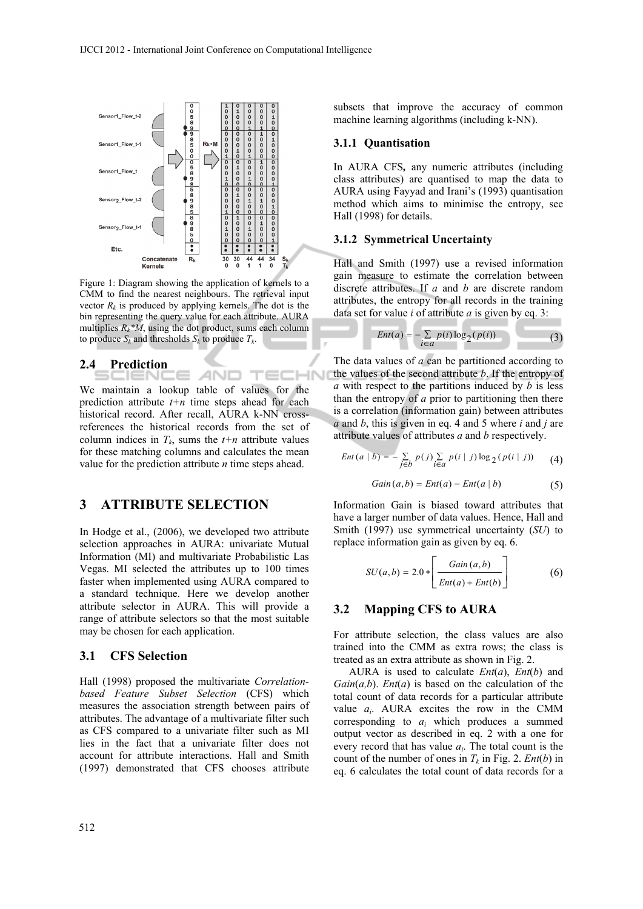

Figure 1: Diagram showing the application of kernels to a CMM to find the nearest neighbours. The retrieval input vector  $R_k$  is produced by applying kernels. The dot is the bin representing the query value for each attribute. AURA multiplies  $R_k^*M$ , using the dot product, sums each column to produce  $S_k$  and thresholds  $S_k$  to produce  $T_k$ .

### **2.4 Prediction**

We maintain a lookup table of values for the prediction attribute  $t+n$  time steps ahead for each historical record. After recall, AURA k-NN crossreferences the historical records from the set of column indices in  $T_k$ , sums the  $t+n$  attribute values for these matching columns and calculates the mean value for the prediction attribute *n* time steps ahead.

AND.

# **3 ATTRIBUTE SELECTION**

In Hodge et al., (2006), we developed two attribute selection approaches in AURA: univariate Mutual Information (MI) and multivariate Probabilistic Las Vegas. MI selected the attributes up to 100 times faster when implemented using AURA compared to a standard technique. Here we develop another attribute selector in AURA. This will provide a range of attribute selectors so that the most suitable may be chosen for each application.

#### **3.1 CFS Selection**

Hall (1998) proposed the multivariate *Correlationbased Feature Subset Selection* (CFS) which measures the association strength between pairs of attributes. The advantage of a multivariate filter such as CFS compared to a univariate filter such as MI lies in the fact that a univariate filter does not account for attribute interactions. Hall and Smith (1997) demonstrated that CFS chooses attribute

512

subsets that improve the accuracy of common machine learning algorithms (including k-NN).

#### **3.1.1 Quantisation**

-IN

In AURA CFS*,* any numeric attributes (including class attributes) are quantised to map the data to AURA using Fayyad and Irani's (1993) quantisation method which aims to minimise the entropy, see Hall (1998) for details.

#### **3.1.2 Symmetrical Uncertainty**

Hall and Smith (1997) use a revised information gain measure to estimate the correlation between discrete attributes. If *a* and *b* are discrete random attributes, the entropy for all records in the training data set for value *i* of attribute *a* is given by eq. 3:

$$
Ent(a) = -\sum_{i \in a} p(i) \log_2(p(i)) \tag{3}
$$

The data values of *a* can be partitioned according to the values of the second attribute *b*. If the entropy of *a* with respect to the partitions induced by *b* is less than the entropy of *a* prior to partitioning then there is a correlation (information gain) between attributes *a* and *b*, this is given in eq. 4 and 5 where *i* and *j* are attribute values of attributes *a* and *b* respectively.

$$
Ent(a | b) = - \sum_{j \in b} p(j) \sum_{i \in a} p(i | j) \log_2 (p(i | j))
$$
 (4)

$$
Gain(a, b) = Ent(a) - Ent(a | b)
$$
\n(5)

Information Gain is biased toward attributes that have a larger number of data values. Hence, Hall and Smith (1997) use symmetrical uncertainty (*SU*) to replace information gain as given by eq. 6.

$$
SU(a,b) = 2.0 * \left[ \frac{Gain(a,b)}{Ent(a) + Ent(b)} \right]
$$
 (6)

### **3.2 Mapping CFS to AURA**

For attribute selection, the class values are also trained into the CMM as extra rows; the class is treated as an extra attribute as shown in Fig. 2.

AURA is used to calculate *Ent*(*a*), *Ent*(*b*) and *Gain*(*a,b*). *Ent*(*a*) is based on the calculation of the total count of data records for a particular attribute value *ai*. AURA excites the row in the CMM corresponding to *ai* which produces a summed output vector as described in eq. 2 with a one for every record that has value *ai*. The total count is the count of the number of ones in  $T_k$  in Fig. 2. *Ent*(*b*) in eq. 6 calculates the total count of data records for a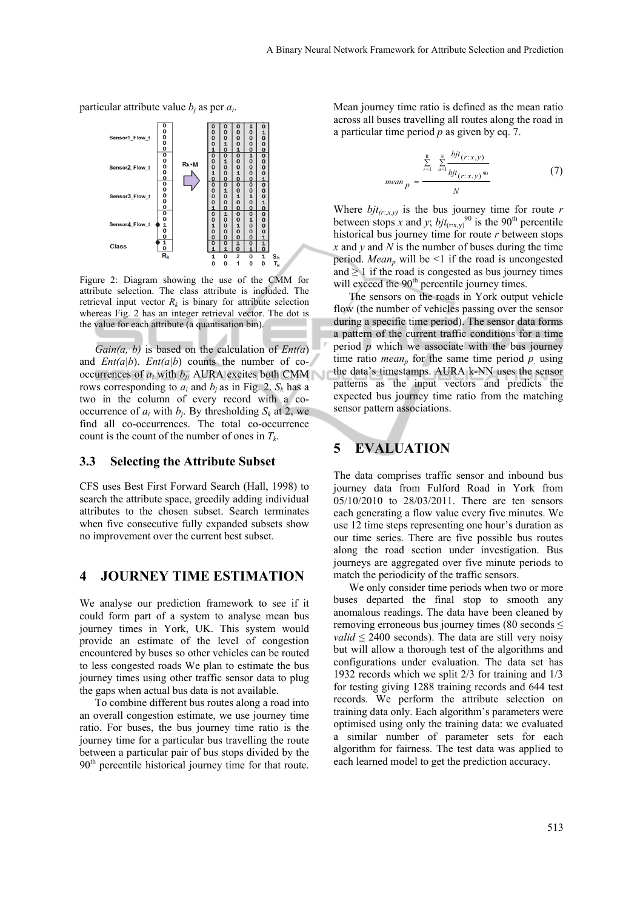*p mean*

particular attribute value *bj* as per *ai*.



Figure 2: Diagram showing the use of the CMM for attribute selection. The class attribute is included. The retrieval input vector  $R_k$  is binary for attribute selection whereas Fig. 2 has an integer retrieval vector. The dot is the value for each attribute (a quantisation bin).

*Gain(a, b)* is based on the calculation of *Ent(a*) and *Ent(a|b*). *Ent(a|b*) counts the number of cooccurrences of  $a_i$  with  $b_j$ . AURA excites both CMM rows corresponding to  $a_i$  and  $b_i$  as in Fig. 2.  $S_k$  has a two in the column of every record with a cooccurrence of  $a_i$  with  $b_i$ . By thresholding  $S_k$  at 2, we find all co-occurrences. The total co-occurrence count is the count of the number of ones in  $T_k$ .

#### **3.3 Selecting the Attribute Subset**

CFS uses Best First Forward Search (Hall, 1998) to search the attribute space, greedily adding individual attributes to the chosen subset. Search terminates when five consecutive fully expanded subsets show no improvement over the current best subset.

## **4 JOURNEY TIME ESTIMATION**

We analyse our prediction framework to see if it could form part of a system to analyse mean bus journey times in York, UK. This system would provide an estimate of the level of congestion encountered by buses so other vehicles can be routed to less congested roads We plan to estimate the bus journey times using other traffic sensor data to plug the gaps when actual bus data is not available.

To combine different bus routes along a road into an overall congestion estimate, we use journey time ratio. For buses, the bus journey time ratio is the journey time for a particular bus travelling the route between a particular pair of bus stops divided by the 90<sup>th</sup> percentile historical journey time for that route.

Mean journey time ratio is defined as the mean ratio across all buses travelling all routes along the road in a particular time period *p* as given by eq. 7.

$$
e^{2m} p = \frac{\sum_{r=1}^{R} \sum_{n=1}^{N} \frac{bjt(r:x,y)}{bjt(r:x,y)^{90}}}{N}
$$
 (7)

Where  $bjt_{(r;x,y)}$  is the bus journey time for route *r* between stops *x* and *y*;  $bjt_{(r:x,y)}^{90}$  is the 90<sup>th</sup> percentile historical bus journey time for route *r* between stops *x* and *y* and *N* is the number of buses during the time period. *Mean<sub>n</sub>* will be <1 if the road is uncongested and  $\geq 1$  if the road is congested as bus journey times will exceed the 90<sup>th</sup> percentile journey times.

The sensors on the roads in York output vehicle flow (the number of vehicles passing over the sensor during a specific time period). The sensor data forms a pattern of the current traffic conditions for a time period *p* which we associate with the bus journey time ratio *mean<sub>p</sub>* for the same time period  $p$ , using the data's timestamps. AURA k-NN uses the sensor patterns as the input vectors and predicts the expected bus journey time ratio from the matching sensor pattern associations.

# **5 EVALUATION**

The data comprises traffic sensor and inbound bus journey data from Fulford Road in York from 05/10/2010 to 28/03/2011. There are ten sensors each generating a flow value every five minutes. We use 12 time steps representing one hour's duration as our time series. There are five possible bus routes along the road section under investigation. Bus journeys are aggregated over five minute periods to match the periodicity of the traffic sensors.

We only consider time periods when two or more buses departed the final stop to smooth any anomalous readings. The data have been cleaned by removing erroneous bus journey times (80 seconds  $\leq$ *valid*  $\leq$  2400 seconds). The data are still very noisy but will allow a thorough test of the algorithms and configurations under evaluation. The data set has 1932 records which we split 2/3 for training and 1/3 for testing giving 1288 training records and 644 test records. We perform the attribute selection on training data only. Each algorithm's parameters were optimised using only the training data: we evaluated a similar number of parameter sets for each algorithm for fairness. The test data was applied to each learned model to get the prediction accuracy.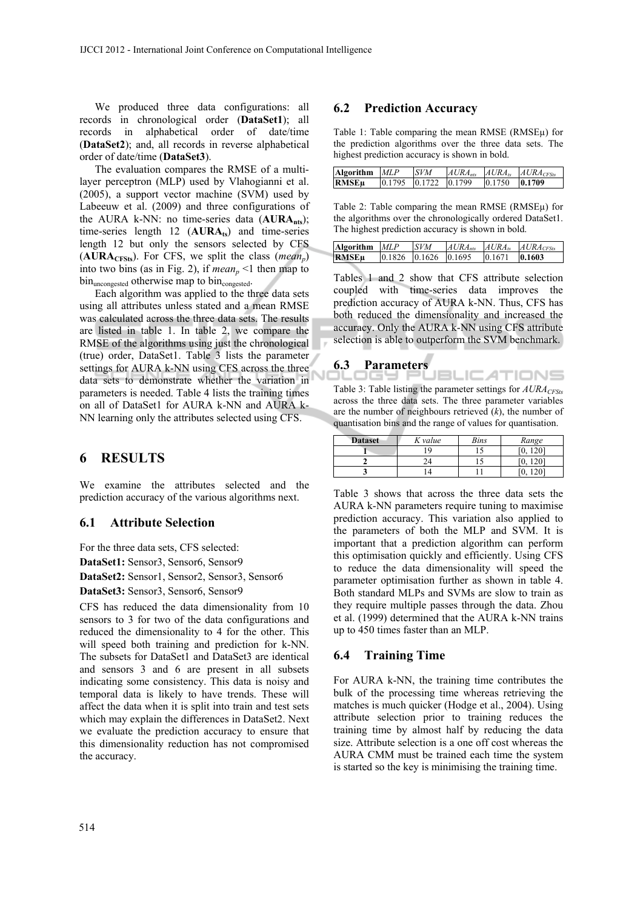We produced three data configurations: all records in chronological order (**DataSet1**); all records in alphabetical order of date/time (**DataSet2**); and, all records in reverse alphabetical order of date/time (**DataSet3**).

The evaluation compares the RMSE of a multilayer perceptron (MLP) used by Vlahogianni et al. (2005), a support vector machine (SVM) used by Labeeuw et al. (2009) and three configurations of the AURA k-NN: no time-series data (**AURAnts**); time-series length  $12$  ( $AURA<sub>ts</sub>$ ) and time-series length 12 but only the sensors selected by CFS  $(AURA<sub>CFSts</sub>)$ . For CFS, we split the class (*mean<sub>n</sub>*) into two bins (as in Fig. 2), if  $mean_n < 1$  then map to bin<sub>uncongested</sub> otherwise map to bin<sub>congested</sub>.

Each algorithm was applied to the three data sets using all attributes unless stated and a mean RMSE was calculated across the three data sets. The results are listed in table 1. In table 2, we compare the RMSE of the algorithms using just the chronological (true) order, DataSet1. Table 3 lists the parameter settings for AURA k-NN using CFS across the three data sets to demonstrate whether the variation in parameters is needed. Table 4 lists the training times on all of DataSet1 for AURA k-NN and AURA k-NN learning only the attributes selected using CFS.

# **6 RESULTS**

We examine the attributes selected and the prediction accuracy of the various algorithms next.

#### **6.1 Attribute Selection**

For the three data sets, CFS selected: **DataSet1:** Sensor3, Sensor6, Sensor9 **DataSet2:** Sensor1, Sensor2, Sensor3, Sensor6

**DataSet3:** Sensor3, Sensor6, Sensor9

CFS has reduced the data dimensionality from 10 sensors to 3 for two of the data configurations and reduced the dimensionality to 4 for the other. This will speed both training and prediction for k-NN. The subsets for DataSet1 and DataSet3 are identical and sensors 3 and 6 are present in all subsets indicating some consistency. This data is noisy and temporal data is likely to have trends. These will affect the data when it is split into train and test sets which may explain the differences in DataSet2. Next we evaluate the prediction accuracy to ensure that this dimensionality reduction has not compromised the accuracy.

### **6.2 Prediction Accuracy**

Table 1: Table comparing the mean RMSE (RMSEµ) for the prediction algorithms over the three data sets. The highest prediction accuracy is shown in bold.

| Algorithm MLP |                                                | <b>SVM</b> | $A U R A_{ntr}$ |        | $AURA_{ts}$ $AURA_{CESts}$ |
|---------------|------------------------------------------------|------------|-----------------|--------|----------------------------|
| <b>RMSEu</b>  | $\vert 0.1795 \vert 0.1722 \vert 0.1799 \vert$ |            |                 | 0.1750 | 10.1709                    |

Table 2: Table comparing the mean RMSE (RMSEµ) for the algorithms over the chronologically ordered DataSet1. The highest prediction accuracy is shown in bold.

| Algorithm MLP |                            | <b>SVM</b> |        | $AURA_{nts}$ $AURA_{ts}$ $AURA_{CSts}$ |
|---------------|----------------------------|------------|--------|----------------------------------------|
| <b>RMSEu</b>  | $0.1826$ $0.1626$ $0.1695$ |            | 0.1671 | 0.1603                                 |

Tables 1 and 2 show that CFS attribute selection coupled with time-series data improves the prediction accuracy of AURA k-NN. Thus, CFS has both reduced the dimensionality and increased the accuracy. Only the AURA k-NN using CFS attribute selection is able to outperform the SVM benchmark.

#### **6.3 Parameters**

*I*BLIC*A*TIONS Table 3: Table listing the parameter settings for  $AURA_{CFSts}$ across the three data sets. The three parameter variables are the number of neighbours retrieved (*k*), the number of quantisation bins and the range of values for quantisation.

| <b>Dataset</b> | K value | <b>Bins</b> | Range |
|----------------|---------|-------------|-------|
|                | ۱Q      |             | 1201  |
|                |         |             | 1201  |
|                | 4       |             |       |

Table 3 shows that across the three data sets the AURA k-NN parameters require tuning to maximise prediction accuracy. This variation also applied to the parameters of both the MLP and SVM. It is important that a prediction algorithm can perform this optimisation quickly and efficiently. Using CFS to reduce the data dimensionality will speed the parameter optimisation further as shown in table 4. Both standard MLPs and SVMs are slow to train as they require multiple passes through the data. Zhou et al. (1999) determined that the AURA k-NN trains up to 450 times faster than an MLP.

### **6.4 Training Time**

For AURA k-NN, the training time contributes the bulk of the processing time whereas retrieving the matches is much quicker (Hodge et al., 2004). Using attribute selection prior to training reduces the training time by almost half by reducing the data size. Attribute selection is a one off cost whereas the AURA CMM must be trained each time the system is started so the key is minimising the training time.